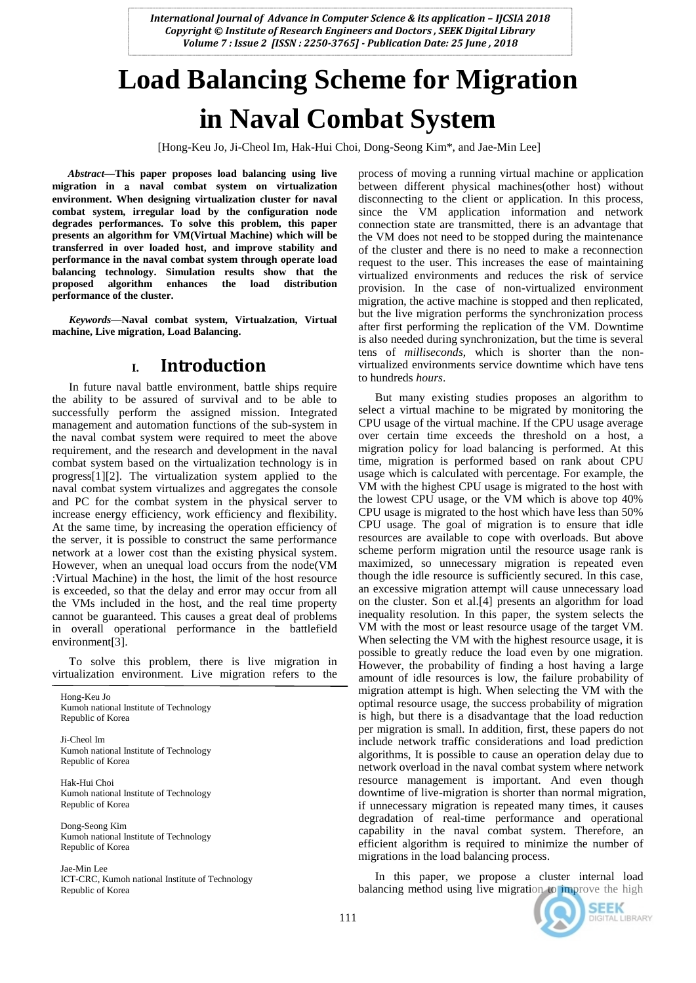# **Load Balancing Scheme for Migration in Naval Combat System**

[Hong-Keu Jo, Ji-Cheol Im, Hak-Hui Choi, Dong-Seong Kim\*, and Jae-Min Lee]

*Abstract***—This paper proposes load balancing using live migration in** a **naval combat system on virtualization environment. When designing virtualization cluster for naval combat system, irregular load by the configuration node degrades performances. To solve this problem, this paper presents an algorithm for VM(Virtual Machine) which will be transferred in over loaded host, and improve stability and performance in the naval combat system through operate load balancing technology. Simulation results show that the proposed algorithm enhances the load distribution performance of the cluster.**

*Keywords—***Naval combat system, Virtualzation, Virtual machine, Live migration, Load Balancing.**

## **I. Introduction**

In future naval battle environment, battle ships require the ability to be assured of survival and to be able to successfully perform the assigned mission. Integrated management and automation functions of the sub-system in the naval combat system were required to meet the above requirement, and the research and development in the naval combat system based on the virtualization technology is in progress[1][2]. The virtualization system applied to the naval combat system virtualizes and aggregates the console and PC for the combat system in the physical server to increase energy efficiency, work efficiency and flexibility. At the same time, by increasing the operation efficiency of the server, it is possible to construct the same performance network at a lower cost than the existing physical system. However, when an unequal load occurs from the node(VM :Virtual Machine) in the host, the limit of the host resource is exceeded, so that the delay and error may occur from all the VMs included in the host, and the real time property cannot be guaranteed. This causes a great deal of problems in overall operational performance in the battlefield environment[3].

To solve this problem, there is live migration in virtualization environment. Live migration refers to the

Hong-Keu Jo Kumoh national Institute of Technology Republic of Korea

Ji-Cheol Im Kumoh national Institute of Technology Republic of Korea

Hak-Hui Choi Kumoh national Institute of Technology Republic of Korea

Dong-Seong Kim Kumoh national Institute of Technology Republic of Korea

Jae-Min Lee ICT-CRC, Kumoh national Institute of Technology Republic of Korea

process of moving a running virtual machine or application between different physical machines(other host) without disconnecting to the client or application. In this process, since the VM application information and network connection state are transmitted, there is an advantage that the VM does not need to be stopped during the maintenance of the cluster and there is no need to make a reconnection request to the user. This increases the ease of maintaining virtualized environments and reduces the risk of service provision. In the case of non-virtualized environment migration, the active machine is stopped and then replicated, but the live migration performs the synchronization process after first performing the replication of the VM. Downtime is also needed during synchronization, but the time is several tens of *milliseconds*, which is shorter than the nonvirtualized environments service downtime which have tens to hundreds *hours*.

But many existing studies proposes an algorithm to select a virtual machine to be migrated by monitoring the CPU usage of the virtual machine. If the CPU usage average over certain time exceeds the threshold on a host, a migration policy for load balancing is performed. At this time, migration is performed based on rank about CPU usage which is calculated with percentage. For example, the VM with the highest CPU usage is migrated to the host with the lowest CPU usage, or the VM which is above top 40% CPU usage is migrated to the host which have less than 50% CPU usage. The goal of migration is to ensure that idle resources are available to cope with overloads. But above scheme perform migration until the resource usage rank is maximized, so unnecessary migration is repeated even though the idle resource is sufficiently secured. In this case, an excessive migration attempt will cause unnecessary load on the cluster. Son et al.[4] presents an algorithm for load inequality resolution. In this paper, the system selects the VM with the most or least resource usage of the target VM. When selecting the VM with the highest resource usage, it is possible to greatly reduce the load even by one migration. However, the probability of finding a host having a large amount of idle resources is low, the failure probability of migration attempt is high. When selecting the VM with the optimal resource usage, the success probability of migration is high, but there is a disadvantage that the load reduction per migration is small. In addition, first, these papers do not include network traffic considerations and load prediction algorithms, It is possible to cause an operation delay due to network overload in the naval combat system where network resource management is important. And even though downtime of live-migration is shorter than normal migration, if unnecessary migration is repeated many times, it causes degradation of real-time performance and operational capability in the naval combat system. Therefore, an efficient algorithm is required to minimize the number of migrations in the load balancing process.

In this paper, we propose a cluster internal load balancing method using live migration to improve the high

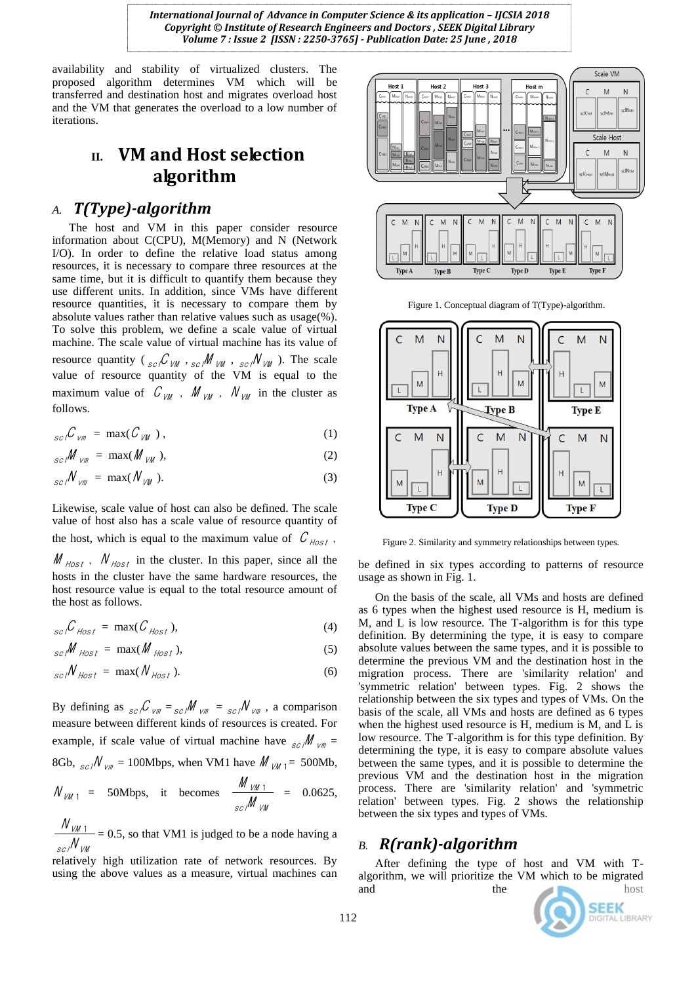availability and stability of virtualized clusters. The proposed algorithm determines VM which will be transferred and destination host and migrates overload host and the VM that generates the overload to a low number of iterations.

# **II. VM and Host selection algorithm**

#### *A. T(Type)-algorithm*

The host and VM in this paper consider resource information about C(CPU), M(Memory) and N (Network I/O). In order to define the relative load status among resources, it is necessary to compare three resources at the same time, but it is difficult to quantify them because they use different units. In addition, since VMs have different resource quantities, it is necessary to compare them by absolute values rather than relative values such as usage(%). To solve this problem, we define a scale value of virtual machine. The scale value of virtual machine has its value of resource quantity ( ${}_{sc}/C_{VM}$ ,  ${}_{sc}/M_{VM}$ ,  ${}_{sc}/N_{VM}$ ). The scale value of resource quantity of the VM is equal to the maximum value of  $C_{VM}$ ,  $M_{VM}$ ,  $N_{VM}$  in the cluster as follows.

$$
{}_{sc}\mathcal{C}_{vm} = \max(\mathcal{C}_{vm}), \qquad (1)
$$

$$
{}_{sc}M_{vm} = \max(M_{vm}), \qquad (2)
$$

$$
{}_{sc}/N_{vm} = \max(N_{VW}). \tag{3}
$$

Likewise, scale value of host can also be defined. The scale value of host also has a scale value of resource quantity of the host, which is equal to the maximum value of  $\mathcal{C}_{\text{host}}$ ,  $M_{Host}$ ,  $N_{Host}$  in the cluster. In this paper, since all the hosts in the cluster have the same hardware resources, the host resource value is equal to the total resource amount of the host as follows.

$$
{}_{sc}\mathcal{C}_{\text{Host}} = \max(\mathcal{C}_{\text{Host}}), \tag{4}
$$

$$
{}_{sc}/\!\!M_{\text{Host}} = \max(\text{M}_{\text{Host}}), \qquad (5)
$$

$$
_{sc}/N_{\text{Host}} = \max(N_{\text{Host}}). \tag{6}
$$

By defining as  ${}_{sc}/C$   $_{vm} = {}_{sc}/M$   $_{vm} = {}_{sc}/N$   $_{vm}$ , a comparison measure between different kinds of resources is created. For example, if scale value of virtual machine have  $\frac{1}{\pi}$   $\frac{1}{\pi}$  = 8Gb,  $_{sc}/N_{vm} = 100 \text{Mbps}$ , when VM1 have  $M_{VM_1} = 500 \text{Mb}$ ,

$$
N_{VM\ 1} = 50 \text{Mbps}, \quad \text{it} \quad \text{becomes} \quad \frac{M_{VM\ 1}}{sc/M_{VM}} = 0.0625,
$$

scl VM VM N  $\frac{N_{VM-1}}{N_{M-1}}$  = 0.5, so that VM1 is judged to be a node having a

relatively high utilization rate of network resources. By using the above values as a measure, virtual machines can



Figure 1. Conceptual diagram of T(Type)-algorithm.



Figure 2. Similarity and symmetry relationships between types.

be defined in six types according to patterns of resource usage as shown in Fig. 1.

On the basis of the scale, all VMs and hosts are defined as 6 types when the highest used resource is H, medium is M, and L is low resource. The T-algorithm is for this type definition. By determining the type, it is easy to compare absolute values between the same types, and it is possible to determine the previous VM and the destination host in the migration process. There are 'similarity relation' and 'symmetric relation' between types. Fig. 2 shows the relationship between the six types and types of VMs. On the basis of the scale, all VMs and hosts are defined as 6 types when the highest used resource is H, medium is M, and L is low resource. The T-algorithm is for this type definition. By determining the type, it is easy to compare absolute values between the same types, and it is possible to determine the previous VM and the destination host in the migration process. There are 'similarity relation' and 'symmetric relation' between types. Fig. 2 shows the relationship between the six types and types of VMs.

#### *B. R(rank)-algorithm*

After defining the type of host and VM with Talgorithm, we will prioritize the VM which to be migrated and the host

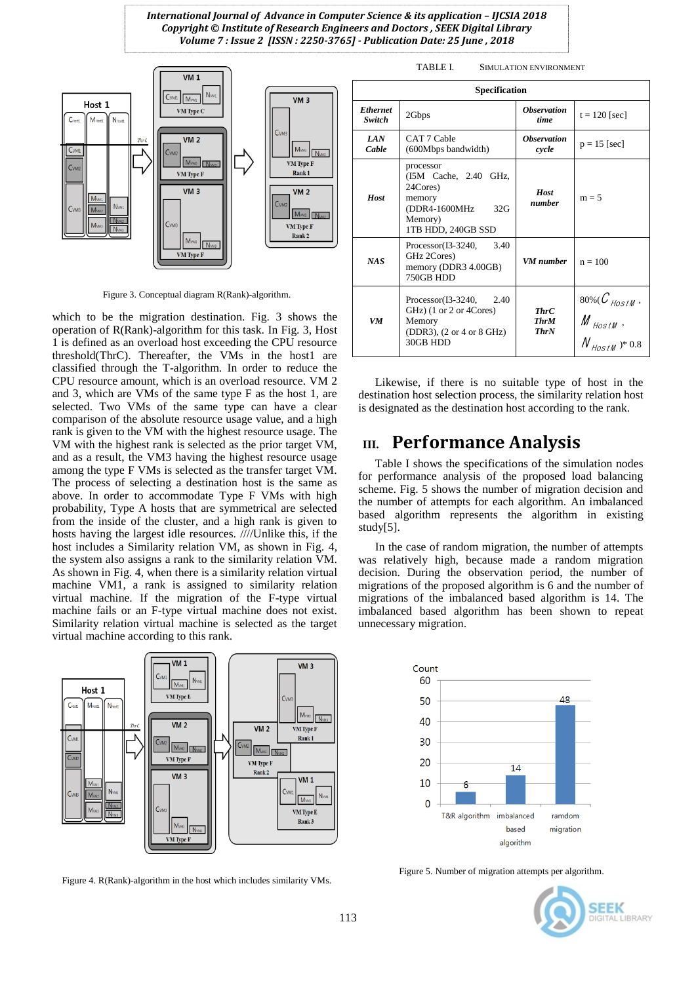

Figure 3. Conceptual diagram R(Rank)-algorithm.

which to be the migration destination. Fig. 3 shows the operation of R(Rank)-algorithm for this task. In Fig. 3, Host 1 is defined as an overload host exceeding the CPU resource threshold(ThrC). Thereafter, the VMs in the host1 are classified through the T-algorithm. In order to reduce the CPU resource amount, which is an overload resource. VM 2 and 3, which are VMs of the same type F as the host 1, are selected. Two VMs of the same type can have a clear comparison of the absolute resource usage value, and a high rank is given to the VM with the highest resource usage. The VM with the highest rank is selected as the prior target VM, and as a result, the VM3 having the highest resource usage among the type F VMs is selected as the transfer target VM. The process of selecting a destination host is the same as above. In order to accommodate Type F VMs with high probability, Type A hosts that are symmetrical are selected from the inside of the cluster, and a high rank is given to hosts having the largest idle resources. ////Unlike this, if the host includes a Similarity relation VM, as shown in Fig. 4, the system also assigns a rank to the similarity relation VM. As shown in Fig. 4, when there is a similarity relation virtual machine VM1, a rank is assigned to similarity relation virtual machine. If the migration of the F-type virtual machine fails or an F-type virtual machine does not exist. Similarity relation virtual machine is selected as the target virtual machine according to this rank.



Figure 4. R(Rank)-algorithm in the host which includes similarity VMs.

**SEEK** GITAL LIBRARY

| Specification             |                                                                                                                                           |                                           |                                                                                       |
|---------------------------|-------------------------------------------------------------------------------------------------------------------------------------------|-------------------------------------------|---------------------------------------------------------------------------------------|
| <b>Ethernet</b><br>Switch | 2Gbps                                                                                                                                     | <i><b>Observation</b></i><br>time         | $t = 120$ [sec]                                                                       |
| <b>LAN</b><br>Cable       | CAT 7 Cable<br>(600Mbps bandwidth)                                                                                                        | <i><b>Observation</b></i><br>cycle        | $p = 15$ [sec]                                                                        |
| Host                      | processor<br>(I5M Cache, 2.40 GHz,<br>24Cores)<br>memory<br>32G<br>(DDR4-1600MHz)<br>Memory)<br>1TB HDD, 240GB SSD                        | Host<br>number                            | $m = 5$                                                                               |
| NAS                       | $Processor(13-3240,$<br>3.40<br>GHz 2Cores)<br>memory (DDR3 4.00GB)<br>750GB HDD                                                          | VM numher                                 | $n = 100$                                                                             |
| <b>VM</b>                 | $Processor(13-3240,$<br>2.40<br>GHz) (1 or 2 or 4Cores)<br>Memory<br>$(DDR3)$ , $(2 \text{ or } 4 \text{ or } 8 \text{ GHz})$<br>30GB HDD | <b>ThrC</b><br><b>ThrM</b><br><b>ThrN</b> | $80\% (C_{\text{HostM}},$ M $_{\text{HostM}},$<br>$\mathcal{N}_{\text{HostM}}$ )* 0.8 |

Likewise, if there is no suitable type of host in the destination host selection process, the similarity relation host is designated as the destination host according to the rank.

# **III. Performance Analysis**

Table I shows the specifications of the simulation nodes for performance analysis of the proposed load balancing scheme. Fig. 5 shows the number of migration decision and the number of attempts for each algorithm. An imbalanced based algorithm represents the algorithm in existing study[5].

In the case of random migration, the number of attempts was relatively high, because made a random migration decision. During the observation period, the number of migrations of the proposed algorithm is 6 and the number of migrations of the imbalanced based algorithm is 14. The imbalanced based algorithm has been shown to repeat unnecessary migration.



Figure 5. Number of migration attempts per algorithm.